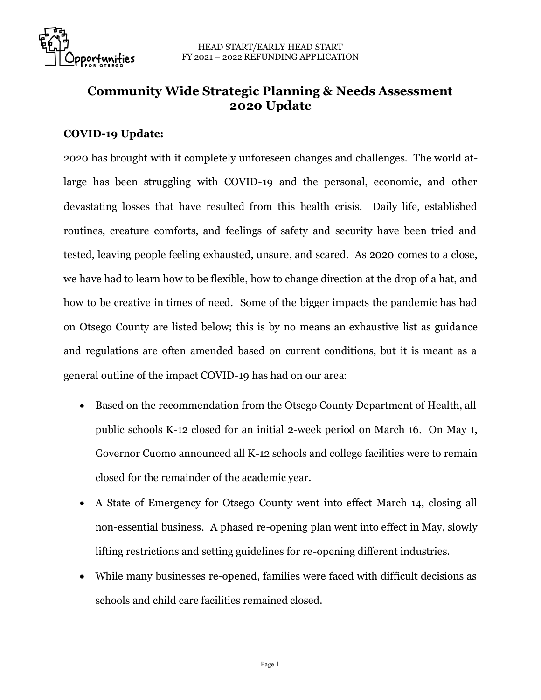

## **Community Wide Strategic Planning & Needs Assessment 2020 Update**

## **COVID-19 Update:**

2020 has brought with it completely unforeseen changes and challenges. The world atlarge has been struggling with COVID-19 and the personal, economic, and other devastating losses that have resulted from this health crisis. Daily life, established routines, creature comforts, and feelings of safety and security have been tried and tested, leaving people feeling exhausted, unsure, and scared. As 2020 comes to a close, we have had to learn how to be flexible, how to change direction at the drop of a hat, and how to be creative in times of need. Some of the bigger impacts the pandemic has had on Otsego County are listed below; this is by no means an exhaustive list as guidance and regulations are often amended based on current conditions, but it is meant as a general outline of the impact COVID-19 has had on our area:

- Based on the recommendation from the Otsego County Department of Health, all public schools K-12 closed for an initial 2-week period on March 16. On May 1, Governor Cuomo announced all K-12 schools and college facilities were to remain closed for the remainder of the academic year.
- A State of Emergency for Otsego County went into effect March 14, closing all non-essential business. A phased re-opening plan went into effect in May, slowly lifting restrictions and setting guidelines for re-opening different industries.
- While many businesses re-opened, families were faced with difficult decisions as schools and child care facilities remained closed.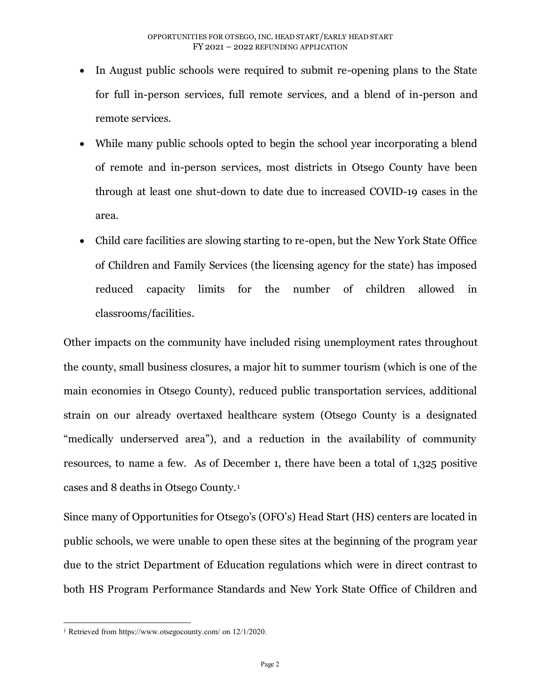- In August public schools were required to submit re-opening plans to the State for full in-person services, full remote services, and a blend of in-person and remote services.
- While many public schools opted to begin the school year incorporating a blend of remote and in-person services, most districts in Otsego County have been through at least one shut-down to date due to increased COVID-19 cases in the area.
- Child care facilities are slowing starting to re-open, but the New York State Office of Children and Family Services (the licensing agency for the state) has imposed reduced capacity limits for the number of children allowed in classrooms/facilities.

Other impacts on the community have included rising unemployment rates throughout the county, small business closures, a major hit to summer tourism (which is one of the main economies in Otsego County), reduced public transportation services, additional strain on our already overtaxed healthcare system (Otsego County is a designated "medically underserved area"), and a reduction in the availability of community resources, to name a few. As of December 1, there have been a total of 1,325 positive cases and 8 deaths in Otsego County.<sup>1</sup>

Since many of Opportunities for Otsego's (OFO's) Head Start (HS) centers are located in public schools, we were unable to open these sites at the beginning of the program year due to the strict Department of Education regulations which were in direct contrast to both HS Program Performance Standards and New York State Office of Children and

<sup>1</sup> Retrieved fro[m https://www.otsegocounty.com/](https://www.otsegocounty.com/) on 12/1/2020.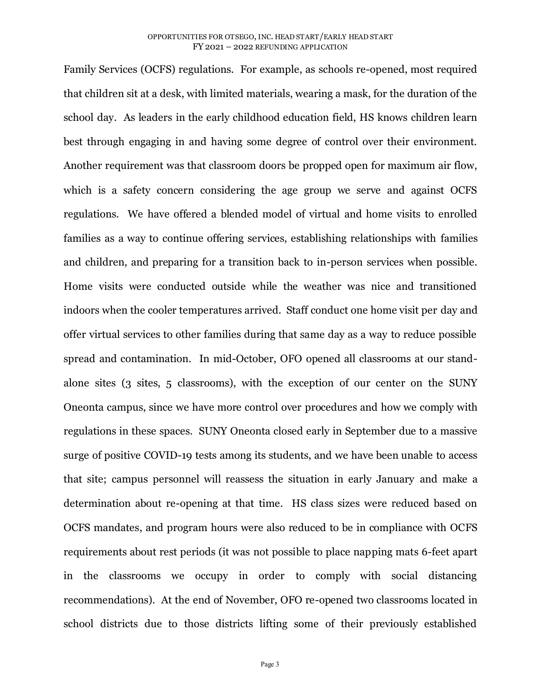Family Services (OCFS) regulations. For example, as schools re-opened, most required that children sit at a desk, with limited materials, wearing a mask, for the duration of the school day. As leaders in the early childhood education field, HS knows children learn best through engaging in and having some degree of control over their environment. Another requirement was that classroom doors be propped open for maximum air flow, which is a safety concern considering the age group we serve and against OCFS regulations. We have offered a blended model of virtual and home visits to enrolled families as a way to continue offering services, establishing relationships with families and children, and preparing for a transition back to in-person services when possible. Home visits were conducted outside while the weather was nice and transitioned indoors when the cooler temperatures arrived. Staff conduct one home visit per day and offer virtual services to other families during that same day as a way to reduce possible spread and contamination. In mid-October, OFO opened all classrooms at our standalone sites (3 sites, 5 classrooms), with the exception of our center on the SUNY Oneonta campus, since we have more control over procedures and how we comply with regulations in these spaces. SUNY Oneonta closed early in September due to a massive surge of positive COVID-19 tests among its students, and we have been unable to access that site; campus personnel will reassess the situation in early January and make a determination about re-opening at that time. HS class sizes were reduced based on OCFS mandates, and program hours were also reduced to be in compliance with OCFS requirements about rest periods (it was not possible to place napping mats 6-feet apart in the classrooms we occupy in order to comply with social distancing recommendations). At the end of November, OFO re-opened two classrooms located in school districts due to those districts lifting some of their previously established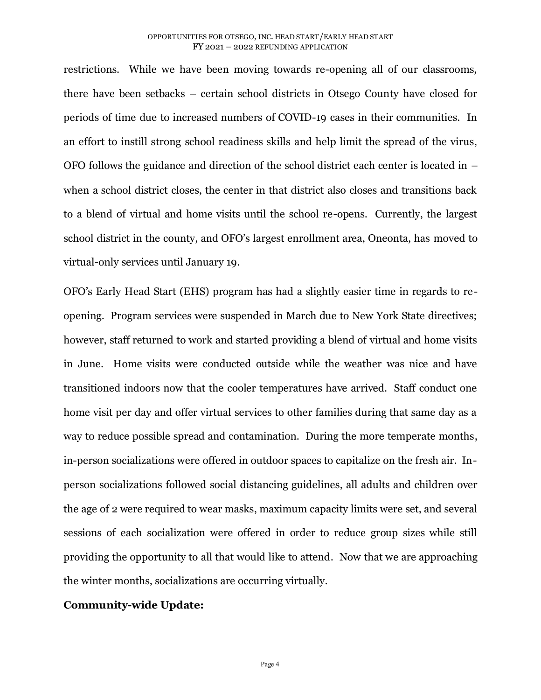restrictions. While we have been moving towards re-opening all of our classrooms, there have been setbacks – certain school districts in Otsego County have closed for periods of time due to increased numbers of COVID-19 cases in their communities. In an effort to instill strong school readiness skills and help limit the spread of the virus, OFO follows the guidance and direction of the school district each center is located in – when a school district closes, the center in that district also closes and transitions back to a blend of virtual and home visits until the school re-opens. Currently, the largest school district in the county, and OFO's largest enrollment area, Oneonta, has moved to virtual-only services until January 19.

OFO's Early Head Start (EHS) program has had a slightly easier time in regards to reopening. Program services were suspended in March due to New York State directives; however, staff returned to work and started providing a blend of virtual and home visits in June. Home visits were conducted outside while the weather was nice and have transitioned indoors now that the cooler temperatures have arrived. Staff conduct one home visit per day and offer virtual services to other families during that same day as a way to reduce possible spread and contamination. During the more temperate months, in-person socializations were offered in outdoor spaces to capitalize on the fresh air. Inperson socializations followed social distancing guidelines, all adults and children over the age of 2 were required to wear masks, maximum capacity limits were set, and several sessions of each socialization were offered in order to reduce group sizes while still providing the opportunity to all that would like to attend. Now that we are approaching the winter months, socializations are occurring virtually.

## **Community-wide Update:**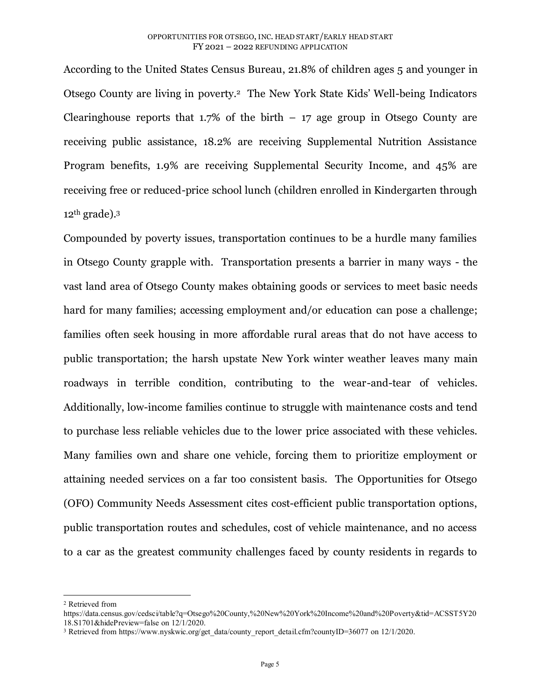According to the United States Census Bureau, 21.8% of children ages 5 and younger in Otsego County are living in poverty.<sup>2</sup> The New York State Kids' Well-being Indicators Clearinghouse reports that  $1.7\%$  of the birth – 17 age group in Otsego County are receiving public assistance, 18.2% are receiving Supplemental Nutrition Assistance Program benefits, 1.9% are receiving Supplemental Security Income, and 45% are receiving free or reduced-price school lunch (children enrolled in Kindergarten through  $12<sup>th</sup>$  grade).<sup>3</sup>

Compounded by poverty issues, transportation continues to be a hurdle many families in Otsego County grapple with. Transportation presents a barrier in many ways - the vast land area of Otsego County makes obtaining goods or services to meet basic needs hard for many families; accessing employment and/or education can pose a challenge; families often seek housing in more affordable rural areas that do not have access to public transportation; the harsh upstate New York winter weather leaves many main roadways in terrible condition, contributing to the wear-and-tear of vehicles. Additionally, low-income families continue to struggle with maintenance costs and tend to purchase less reliable vehicles due to the lower price associated with these vehicles. Many families own and share one vehicle, forcing them to prioritize employment or attaining needed services on a far too consistent basis. The Opportunities for Otsego (OFO) Community Needs Assessment cites cost-efficient public transportation options, public transportation routes and schedules, cost of vehicle maintenance, and no access to a car as the greatest community challenges faced by county residents in regards to

<sup>2</sup> Retrieved from

[https://data.census.gov/cedsci/table?q=Otsego%20County,%20New%20York%20Income%20and%20Poverty&tid=ACSST5Y20](https://data.census.gov/cedsci/table?q=Otsego%20County,%20New%20York%20Income%20and%20Poverty&tid=ACSST5Y2018.S1701&hidePreview=false) [18.S1701&hidePreview=false](https://data.census.gov/cedsci/table?q=Otsego%20County,%20New%20York%20Income%20and%20Poverty&tid=ACSST5Y2018.S1701&hidePreview=false) on 12/1/2020.

<sup>&</sup>lt;sup>3</sup> Retrieved from https://www.nyskwic.org/get\_data/county\_report\_detail.cfm?countyID=36077 on 12/1/2020.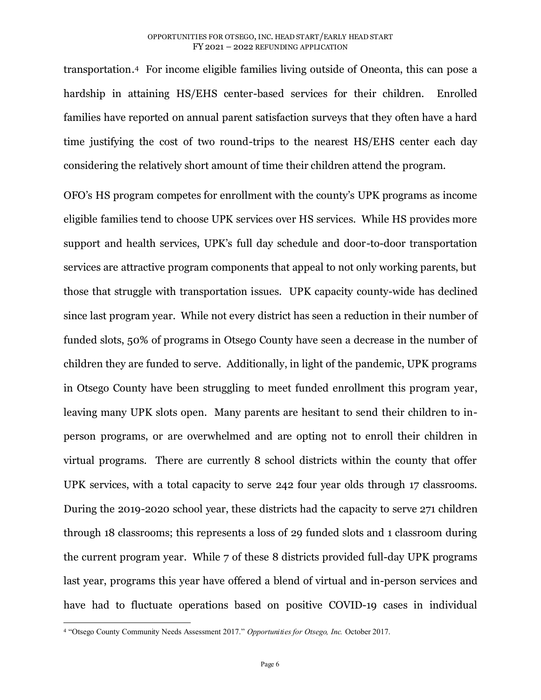transportation. <sup>4</sup> For income eligible families living outside of Oneonta, this can pose a hardship in attaining HS/EHS center-based services for their children. Enrolled families have reported on annual parent satisfaction surveys that they often have a hard time justifying the cost of two round-trips to the nearest HS/EHS center each day considering the relatively short amount of time their children attend the program.

OFO's HS program competes for enrollment with the county's UPK programs as income eligible families tend to choose UPK services over HS services. While HS provides more support and health services, UPK's full day schedule and door-to-door transportation services are attractive program components that appeal to not only working parents, but those that struggle with transportation issues. UPK capacity county-wide has declined since last program year. While not every district has seen a reduction in their number of funded slots, 50% of programs in Otsego County have seen a decrease in the number of children they are funded to serve. Additionally, in light of the pandemic, UPK programs in Otsego County have been struggling to meet funded enrollment this program year, leaving many UPK slots open. Many parents are hesitant to send their children to inperson programs, or are overwhelmed and are opting not to enroll their children in virtual programs. There are currently 8 school districts within the county that offer UPK services, with a total capacity to serve 242 four year olds through 17 classrooms. During the 2019-2020 school year, these districts had the capacity to serve 271 children through 18 classrooms; this represents a loss of 29 funded slots and 1 classroom during the current program year. While 7 of these 8 districts provided full-day UPK programs last year, programs this year have offered a blend of virtual and in-person services and have had to fluctuate operations based on positive COVID-19 cases in individual

<sup>4</sup> "Otsego County Community Needs Assessment 2017." *Opportunities for Otsego, Inc.* October 2017.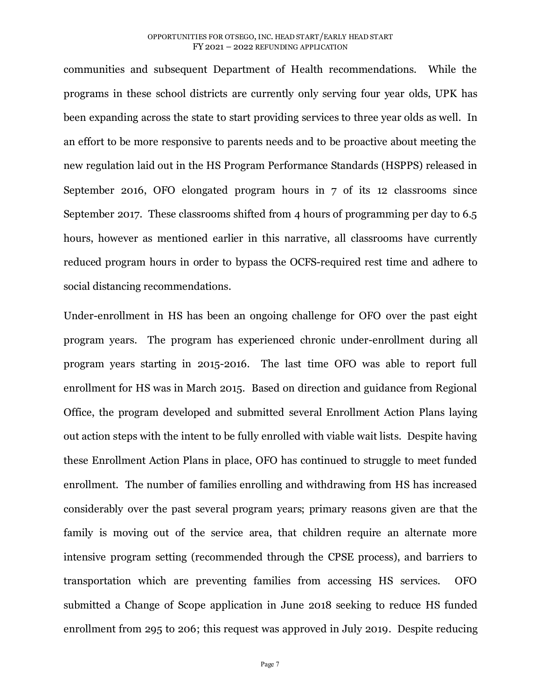communities and subsequent Department of Health recommendations. While the programs in these school districts are currently only serving four year olds, UPK has been expanding across the state to start providing services to three year olds as well. In an effort to be more responsive to parents needs and to be proactive about meeting the new regulation laid out in the HS Program Performance Standards (HSPPS) released in September 2016, OFO elongated program hours in 7 of its 12 classrooms since September 2017. These classrooms shifted from 4 hours of programming per day to 6.5 hours, however as mentioned earlier in this narrative, all classrooms have currently reduced program hours in order to bypass the OCFS-required rest time and adhere to social distancing recommendations.

Under-enrollment in HS has been an ongoing challenge for OFO over the past eight program years. The program has experienced chronic under-enrollment during all program years starting in 2015-2016. The last time OFO was able to report full enrollment for HS was in March 2015. Based on direction and guidance from Regional Office, the program developed and submitted several Enrollment Action Plans laying out action steps with the intent to be fully enrolled with viable wait lists. Despite having these Enrollment Action Plans in place, OFO has continued to struggle to meet funded enrollment. The number of families enrolling and withdrawing from HS has increased considerably over the past several program years; primary reasons given are that the family is moving out of the service area, that children require an alternate more intensive program setting (recommended through the CPSE process), and barriers to transportation which are preventing families from accessing HS services. OFO submitted a Change of Scope application in June 2018 seeking to reduce HS funded enrollment from 295 to 206; this request was approved in July 2019. Despite reducing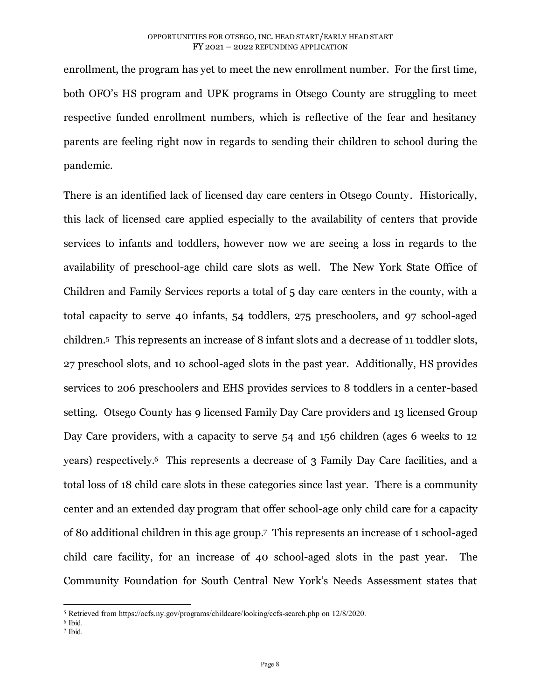enrollment, the program has yet to meet the new enrollment number. For the first time, both OFO's HS program and UPK programs in Otsego County are struggling to meet respective funded enrollment numbers, which is reflective of the fear and hesitancy parents are feeling right now in regards to sending their children to school during the pandemic.

There is an identified lack of licensed day care centers in Otsego County. Historically, this lack of licensed care applied especially to the availability of centers that provide services to infants and toddlers, however now we are seeing a loss in regards to the availability of preschool-age child care slots as well. The New York State Office of Children and Family Services reports a total of 5 day care centers in the county, with a total capacity to serve 40 infants, 54 toddlers, 275 preschoolers, and 97 school-aged children.5 This represents an increase of 8 infant slots and a decrease of 11 toddler slots, 27 preschool slots, and 10 school-aged slots in the past year. Additionally, HS provides services to 206 preschoolers and EHS provides services to 8 toddlers in a center-based setting. Otsego County has 9 licensed Family Day Care providers and 13 licensed Group Day Care providers, with a capacity to serve 54 and 156 children (ages 6 weeks to 12 years) respectively.6 This represents a decrease of 3 Family Day Care facilities, and a total loss of 18 child care slots in these categories since last year. There is a community center and an extended day program that offer school-age only child care for a capacity of 80 additional children in this age group.7 This represents an increase of 1 school-aged child care facility, for an increase of 40 school-aged slots in the past year. The Community Foundation for South Central New York's Needs Assessment states that

7 Ibid.

<sup>5</sup> Retrieved fro[m https://ocfs.ny.gov/programs/childcare/looking/ccfs-search.php](https://ocfs.ny.gov/programs/childcare/looking/ccfs-search.php) on 12/8/2020.

<sup>6</sup> Ibid.